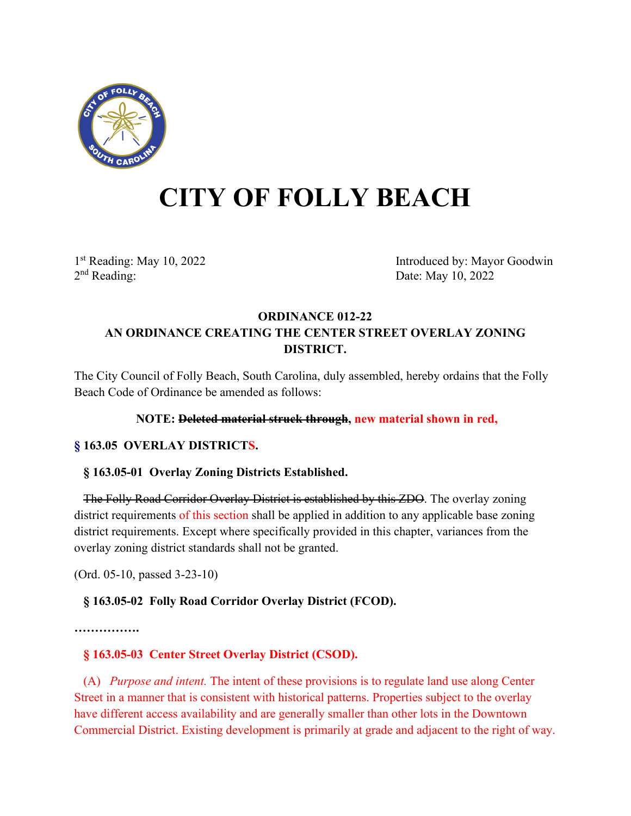

# **CITY OF FOLLY BEACH**

1st Reading: May 10, 2022<br>
2<sup>nd</sup> Reading: Date: May 10, 2022<br>
Date: May 10, 2022 Date: May 10, 2022

## **ORDINANCE 012-22 AN ORDINANCE CREATING THE CENTER STREET OVERLAY ZONING DISTRICT.**

The City Council of Folly Beach, South Carolina, duly assembled, hereby ordains that the Folly Beach Code of Ordinance be amended as follows:

#### **NOTE: Deleted material struck through, new material shown in red,**

#### **§ 163.05 OVERLAY DISTRICTS.**

#### **§ 163.05-01 Overlay Zoning Districts Established.**

 The Folly Road Corridor Overlay District is established by this ZDO. The overlay zoning district requirements of this section shall be applied in addition to any applicable base zoning district requirements. Except where specifically provided in this chapter, variances from the overlay zoning district standards shall not be granted.

(Ord. 05-10, passed 3-23-10)

## **§ 163.05-02 Folly Road Corridor Overlay District (FCOD).**

**…………….**

## **§ 163.05-03 Center Street Overlay District (CSOD).**

 (A) *Purpose and intent.* The intent of these provisions is to regulate land use along Center Street in a manner that is consistent with historical patterns. Properties subject to the overlay have different access availability and are generally smaller than other lots in the Downtown Commercial District. Existing development is primarily at grade and adjacent to the right of way.